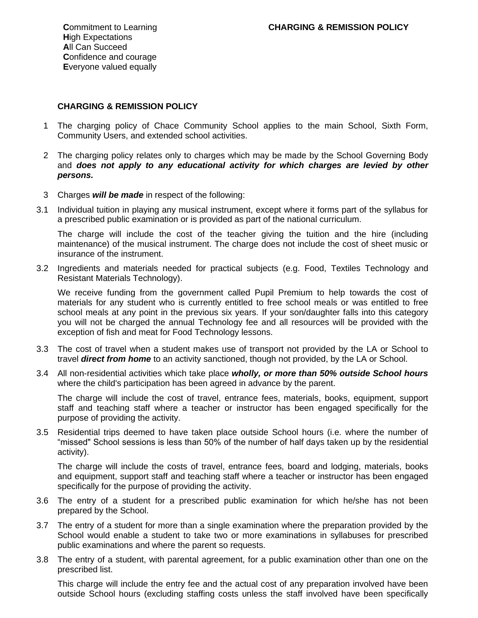## **CHARGING & REMISSION POLICY**

- 1 The charging policy of Chace Community School applies to the main School, Sixth Form, Community Users, and extended school activities.
- 2 The charging policy relates only to charges which may be made by the School Governing Body and *does not apply to any educational activity for which charges are levied by other persons.*
- 3 Charges *will be made* in respect of the following:
- 3.1 Individual tuition in playing any musical instrument, except where it forms part of the syllabus for a prescribed public examination or is provided as part of the national curriculum.

The charge will include the cost of the teacher giving the tuition and the hire (including maintenance) of the musical instrument. The charge does not include the cost of sheet music or insurance of the instrument.

3.2 Ingredients and materials needed for practical subjects (e.g. Food, Textiles Technology and Resistant Materials Technology).

We receive funding from the government called Pupil Premium to help towards the cost of materials for any student who is currently entitled to free school meals or was entitled to free school meals at any point in the previous six years. If your son/daughter falls into this category you will not be charged the annual Technology fee and all resources will be provided with the exception of fish and meat for Food Technology lessons.

- 3.3 The cost of travel when a student makes use of transport not provided by the LA or School to travel *direct from home* to an activity sanctioned, though not provided, by the LA or School.
- 3.4 All non-residential activities which take place *wholly, or more than 50% outside School hours* where the child's participation has been agreed in advance by the parent.

The charge will include the cost of travel, entrance fees, materials, books, equipment, support staff and teaching staff where a teacher or instructor has been engaged specifically for the purpose of providing the activity.

3.5 Residential trips deemed to have taken place outside School hours (i.e. where the number of "missed" School sessions is less than 50% of the number of half days taken up by the residential activity).

The charge will include the costs of travel, entrance fees, board and lodging, materials, books and equipment, support staff and teaching staff where a teacher or instructor has been engaged specifically for the purpose of providing the activity.

- 3.6 The entry of a student for a prescribed public examination for which he/she has not been prepared by the School.
- 3.7 The entry of a student for more than a single examination where the preparation provided by the School would enable a student to take two or more examinations in syllabuses for prescribed public examinations and where the parent so requests.
- 3.8 The entry of a student, with parental agreement, for a public examination other than one on the prescribed list.

This charge will include the entry fee and the actual cost of any preparation involved have been outside School hours (excluding staffing costs unless the staff involved have been specifically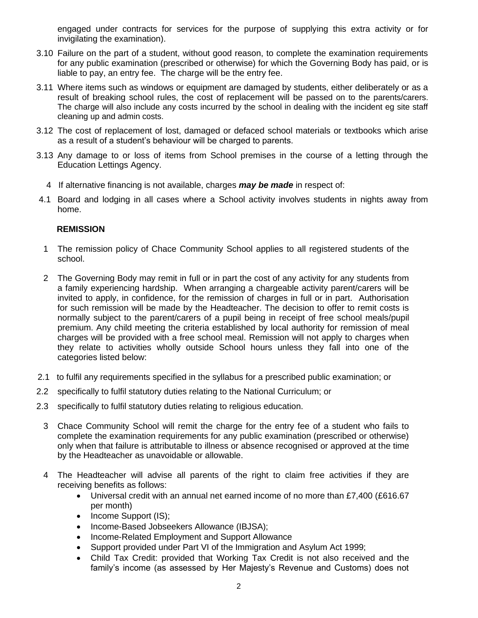engaged under contracts for services for the purpose of supplying this extra activity or for invigilating the examination).

- 3.10 Failure on the part of a student, without good reason, to complete the examination requirements for any public examination (prescribed or otherwise) for which the Governing Body has paid, or is liable to pay, an entry fee. The charge will be the entry fee.
- 3.11 Where items such as windows or equipment are damaged by students, either deliberately or as a result of breaking school rules, the cost of replacement will be passed on to the parents/carers. The charge will also include any costs incurred by the school in dealing with the incident eg site staff cleaning up and admin costs.
- 3.12 The cost of replacement of lost, damaged or defaced school materials or textbooks which arise as a result of a student's behaviour will be charged to parents.
- 3.13 Any damage to or loss of items from School premises in the course of a letting through the Education Lettings Agency.
	- 4 If alternative financing is not available, charges *may be made* in respect of:
- 4.1 Board and lodging in all cases where a School activity involves students in nights away from home.

## **REMISSION**

- 1 The remission policy of Chace Community School applies to all registered students of the school.
- 2 The Governing Body may remit in full or in part the cost of any activity for any students from a family experiencing hardship. When arranging a chargeable activity parent/carers will be invited to apply, in confidence, for the remission of charges in full or in part. Authorisation for such remission will be made by the Headteacher. The decision to offer to remit costs is normally subject to the parent/carers of a pupil being in receipt of free school meals/pupil premium. Any child meeting the criteria established by local authority for remission of meal charges will be provided with a free school meal. Remission will not apply to charges when they relate to activities wholly outside School hours unless they fall into one of the categories listed below:
- 2.1 to fulfil any requirements specified in the syllabus for a prescribed public examination; or
- 2.2 specifically to fulfil statutory duties relating to the National Curriculum; or
- 2.3 specifically to fulfil statutory duties relating to religious education.
	- 3 Chace Community School will remit the charge for the entry fee of a student who fails to complete the examination requirements for any public examination (prescribed or otherwise) only when that failure is attributable to illness or absence recognised or approved at the time by the Headteacher as unavoidable or allowable.
	- 4 The Headteacher will advise all parents of the right to claim free activities if they are receiving benefits as follows:
		- Universal credit with an annual net earned income of no more than £7,400 (£616.67 per month)
		- Income Support (IS);
		- Income-Based Jobseekers Allowance (IBJSA);
		- Income-Related Employment and Support Allowance
		- Support provided under Part VI of the Immigration and Asylum Act 1999;
		- Child Tax Credit: provided that Working Tax Credit is not also received and the family's income (as assessed by Her Majesty's Revenue and Customs) does not